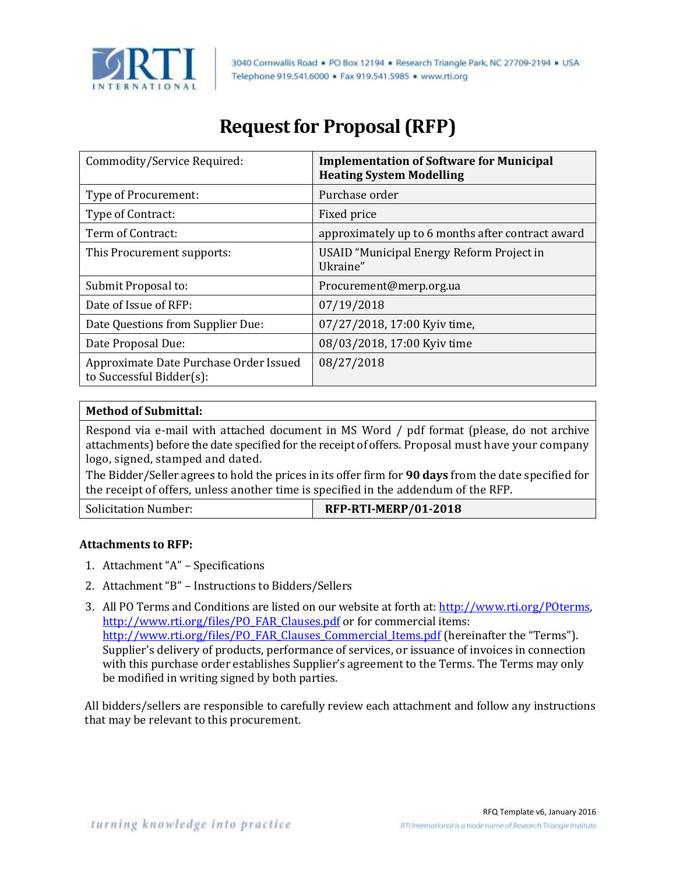

3040 Cornwallis Road . PO Box 12194 . Research Triangle Park, NC 27709-2194 . USA Telephone 919,541,6000 · Fax 919,541,5985 · www.rti.org

# **Request for Proposal (RFP)**

| Commodity/Service Required:                                        | <b>Implementation of Software for Municipal</b><br><b>Heating System Modelling</b> |
|--------------------------------------------------------------------|------------------------------------------------------------------------------------|
| Type of Procurement:                                               | Purchase order                                                                     |
| Type of Contract:                                                  | Fixed price                                                                        |
| Term of Contract:                                                  | approximately up to 6 months after contract award                                  |
| This Procurement supports:                                         | USAID "Municipal Energy Reform Project in<br>Ukraine"                              |
| Submit Proposal to:                                                | Procurement@merp.org.ua                                                            |
| Date of Issue of RFP:                                              | 07/19/2018                                                                         |
| Date Questions from Supplier Due:                                  | 07/27/2018, 17:00 Kyiv time,                                                       |
| Date Proposal Due:                                                 | 08/03/2018, 17:00 Kyiv time                                                        |
| Approximate Date Purchase Order Issued<br>to Successful Bidder(s): | 08/27/2018                                                                         |

### **Method of Submittal:**

Respond via e-mail with attached document in MS Word / pdf format (please, do not archive attachments) before the date specified for the receipt of offers. Proposal must have your company logo, signed, stamped and dated.

The Bidder/Seller agrees to hold the prices in its offer firm for **90 days** from the date specified for the receipt of offers, unless another time is specified in the addendum of the RFP.

#### **Attachments to RFP:**

- 1. Attachment "A" Specifications
- 2. Attachment "B" Instructions to Bidders/Sellers
- 3. All PO Terms and Conditions are listed on our website at forth at: http://www.rti.org/POterms, [http://www.rti.org/files/PO\\_FAR\\_Clauses.pdf](http://www.rti.org/files/PO_FAR_Clauses.pdf) or for commercial items: [http://www.rti.org/files/PO\\_FAR\\_Clauses\\_Commercial\\_Items.pdf](http://www.rti.org/files/PO_FAR_Clauses_Commercial_Items.pdf) (hereinafter the "Terms"). Supplier's delivery of products, performance of services, or issuance of invoices in connection with this purchase order establishes Supplier's agreement to the Terms. The Terms may only be modified in writing signed by both parties.

All bidders/sellers are responsible to carefully review each attachment and follow any instructions that may be relevant to this procurement.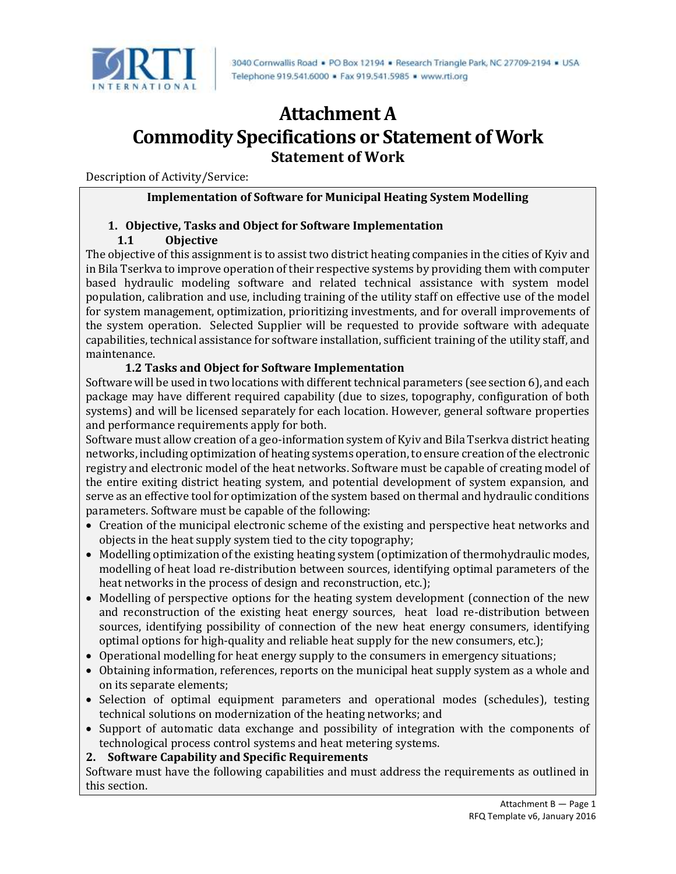

# **Attachment A Commodity Specifications or Statement of Work Statement of Work**

Description of Activity/Service:

#### **Implementation of Software for Municipal Heating System Modelling**

## **1. Objective, Tasks and Object for Software Implementation**

## **1.1 Objective**

The objective of this assignment is to assist two district heating companies in the cities of Kyiv and in Bila Tserkva to improve operation of their respective systems by providing them with computer based hydraulic modeling software and related technical assistance with system model population, calibration and use, including training of the utility staff on effective use of the model for system management, optimization, prioritizing investments, and for overall improvements of the system operation. Selected Supplier will be requested to provide software with adequate capabilities, technical assistance for software installation, sufficient training of the utility staff, and maintenance.

## **1.2 Tasks and Object for Software Implementation**

Software will be used in two locations with different technical parameters (see section 6), and each package may have different required capability (due to sizes, topography, configuration of both systems) and will be licensed separately for each location. However, general software properties and performance requirements apply for both.

Software must allow creation of a geo-information system of Kyiv and Bila Tserkva district heating networks, including optimization of heating systems operation, to ensure creation of the electronic registry and electronic model of the heat networks. Software must be capable of creating model of the entire exiting district heating system, and potential development of system expansion, and serve as an effective tool for optimization of the system based on thermal and hydraulic conditions parameters. Software must be capable of the following:

- Creation of the municipal electronic scheme of the existing and perspective heat networks and objects in the heat supply system tied to the city topography;
- Modelling optimization of the existing heating system (optimization of thermohydraulic modes, modelling of heat load re-distribution between sources, identifying optimal parameters of the heat networks in the process of design and reconstruction, etc.);
- Modelling of perspective options for the heating system development (connection of the new and reconstruction of the existing heat energy sources, heat load re-distribution between sources, identifying possibility of connection of the new heat energy consumers, identifying optimal options for high-quality and reliable heat supply for the new consumers, etc.);
- Operational modelling for heat energy supply to the consumers in emergency situations;
- Obtaining information, references, reports on the municipal heat supply system as a whole and on its separate elements;
- Selection of optimal equipment parameters and operational modes (schedules), testing technical solutions on modernization of the heating networks; and
- Support of automatic data exchange and possibility of integration with the components of technological process control systems and heat metering systems.
- **2. Software Capability and Specific Requirements**

Software must have the following capabilities and must address the requirements as outlined in this section.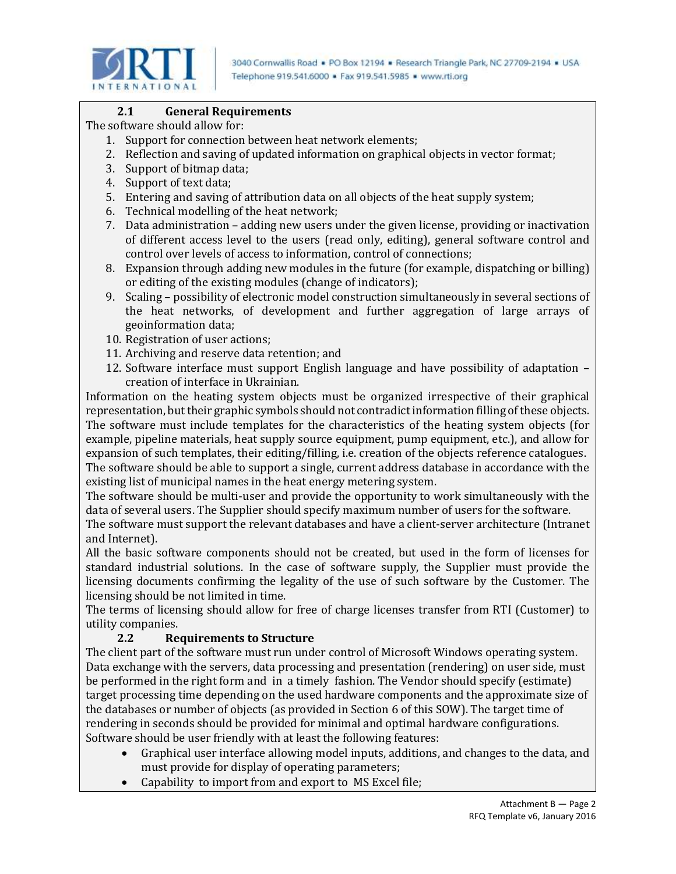

### **2.1 General Requirements**

The software should allow for:

- 1. Support for connection between heat network elements;
- 2. Reflection and saving of updated information on graphical objects in vector format;
- 3. Support of bitmap data;
- 4. Support of text data;
- 5. Entering and saving of attribution data on all objects of the heat supply system;
- 6. Technical modelling of the heat network;
- 7. Data administration adding new users under the given license, providing or inactivation of different access level to the users (read only, editing), general software control and control over levels of access to information, control of connections;
- 8. Expansion through adding new modules in the future (for example, dispatching or billing) or editing of the existing modules (change of indicators);
- 9. Scaling possibility of electronic model construction simultaneously in several sections of the heat networks, of development and further aggregation of large arrays of geoinformation data;
- 10. Registration of user actions;
- 11. Archiving and reserve data retention; and
- 12. Software interface must support English language and have possibility of adaptation creation of interface in Ukrainian.

Information on the heating system objects must be organized irrespective of their graphical representation, but their graphic symbols should not contradict information filling of these objects. The software must include templates for the characteristics of the heating system objects (for example, pipeline materials, heat supply source equipment, pump equipment, etc.), and allow for expansion of such templates, their editing/filling, i.e. creation of the objects reference catalogues. The software should be able to support a single, current address database in accordance with the existing list of municipal names in the heat energy metering system.

The software should be multi-user and provide the opportunity to work simultaneously with the data of several users. The Supplier should specify maximum number of users for the software.

The software must support the relevant databases and have a client-server architecture (Intranet and Internet).

All the basic software components should not be created, but used in the form of licenses for standard industrial solutions. In the case of software supply, the Supplier must provide the licensing documents confirming the legality of the use of such software by the Customer. The licensing should be not limited in time.

The terms of licensing should allow for free of charge licenses transfer from RTI (Customer) to utility companies.

### **2.2 Requirements to Structure**

The client part of the software must run under control of Microsoft Windows operating system. Data exchange with the servers, data processing and presentation (rendering) on user side, must be performed in the right form and in a timely fashion. The Vendor should specify (estimate) target processing time depending on the used hardware components and the approximate size of the databases or number of objects (as provided in Section 6 of this SOW). The target time of rendering in seconds should be provided for minimal and optimal hardware configurations. Software should be user friendly with at least the following features:

- Graphical user interface allowing model inputs, additions, and changes to the data, and must provide for display of operating parameters;
- Capability to import from and export to MS Excel file;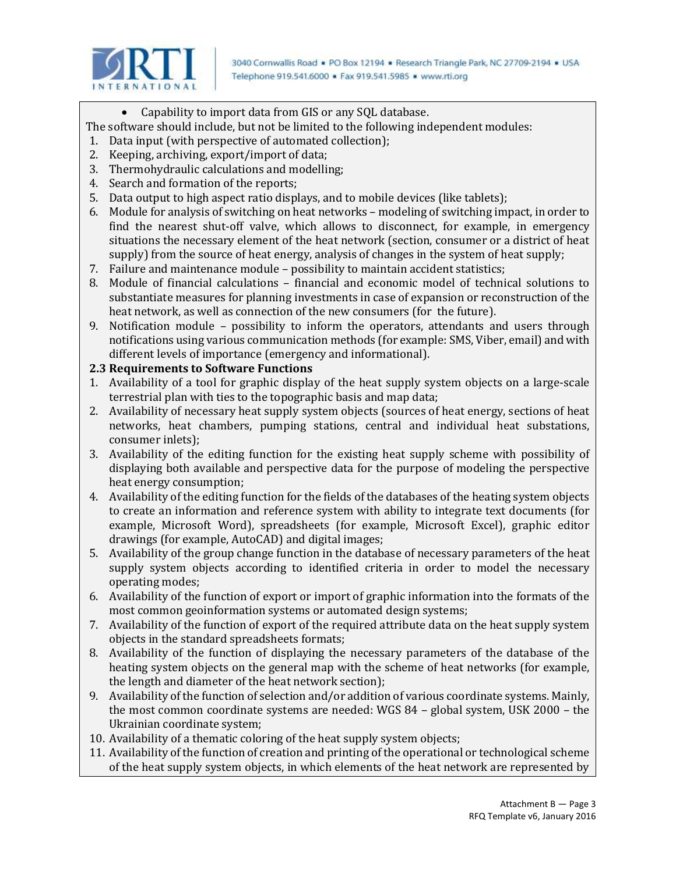

Capability to import data from GIS or any SQL database.

The software should include, but not be limited to the following independent modules:

- 1. Data input (with perspective of automated collection);
- 2. Keeping, archiving, export/import of data;
- 3. Thermohydraulic calculations and modelling;
- 4. Search and formation of the reports;
- 5. Data output to high aspect ratio displays, and to mobile devices (like tablets);
- 6. Module for analysis of switching on heat networks modeling of switching impact, in order to find the nearest shut-off valve, which allows to disconnect, for example, in emergency situations the necessary element of the heat network (section, consumer or a district of heat supply) from the source of heat energy, analysis of changes in the system of heat supply;
- 7. Failure and maintenance module possibility to maintain accident statistics;
- 8. Module of financial calculations financial and economic model of technical solutions to substantiate measures for planning investments in case of expansion or reconstruction of the heat network, as well as connection of the new consumers (for the future).
- 9. Notification module possibility to inform the operators, attendants and users through notifications using various communication methods (for example: SMS, Viber, email) and with different levels of importance (emergency and informational).

# **2.3 Requirements to Software Functions**

- 1. Availability of a tool for graphic display of the heat supply system objects on a large-scale terrestrial plan with ties to the topographic basis and map data;
- 2. Availability of necessary heat supply system objects (sources of heat energy, sections of heat networks, heat chambers, pumping stations, central and individual heat substations, consumer inlets);
- 3. Availability of the editing function for the existing heat supply scheme with possibility of displaying both available and perspective data for the purpose of modeling the perspective heat energy consumption;
- 4. Availability of the editing function for the fields of the databases of the heating system objects to create an information and reference system with ability to integrate text documents (for example, Microsoft Word), spreadsheets (for example, Microsoft Excel), graphic editor drawings (for example, AutoCAD) and digital images;
- 5. Availability of the group change function in the database of necessary parameters of the heat supply system objects according to identified criteria in order to model the necessary operating modes;
- 6. Availability of the function of export or import of graphic information into the formats of the most common geoinformation systems or automated design systems;
- 7. Availability of the function of export of the required attribute data on the heat supply system objects in the standard spreadsheets formats;
- 8. Availability of the function of displaying the necessary parameters of the database of the heating system objects on the general map with the scheme of heat networks (for example, the length and diameter of the heat network section);
- 9. Availability of the function of selection and/or addition of various coordinate systems. Mainly, the most common coordinate systems are needed: WGS 84 – global system, USK 2000 – the Ukrainian coordinate system;
- 10. Availability of a thematic coloring of the heat supply system objects;
- 11. Availability of the function of creation and printing of the operational or technological scheme of the heat supply system objects, in which elements of the heat network are represented by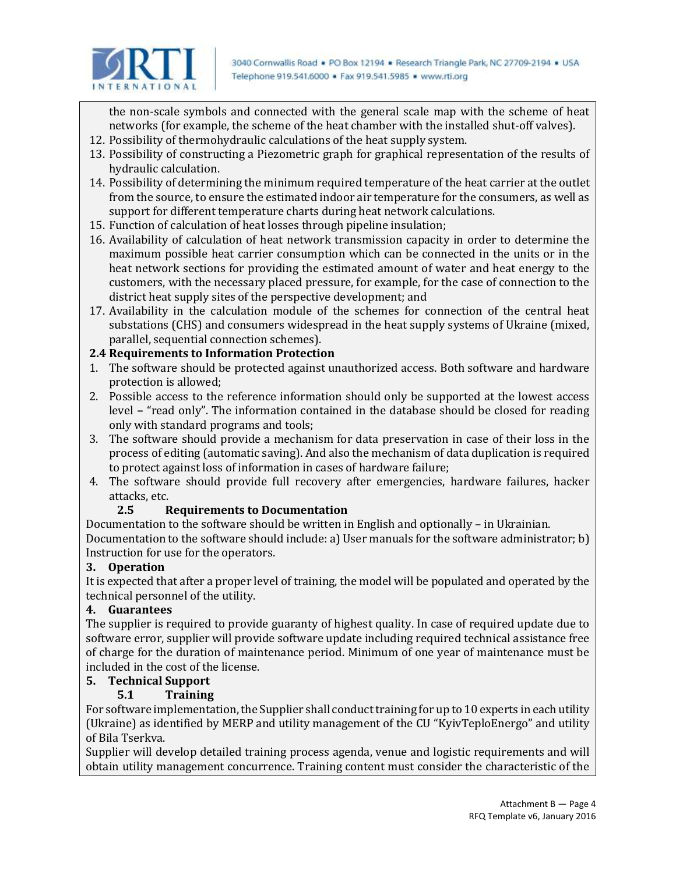

the non-scale symbols and connected with the general scale map with the scheme of heat networks (for example, the scheme of the heat chamber with the installed shut-off valves).

- 12. Possibility of thermohydraulic calculations of the heat supply system.
- 13. Possibility of constructing a Piezometric graph for graphical representation of the results of hydraulic calculation.
- 14. Possibility of determining the minimum required temperature of the heat carrier at the outlet from the source, to ensure the estimated indoor air temperature for the consumers, as well as support for different temperature charts during heat network calculations.
- 15. Function of calculation of heat losses through pipeline insulation;
- 16. Availability of calculation of heat network transmission capacity in order to determine the maximum possible heat carrier consumption which can be connected in the units or in the heat network sections for providing the estimated amount of water and heat energy to the customers, with the necessary placed pressure, for example, for the case of connection to the district heat supply sites of the perspective development; and
- 17. Availability in the calculation module of the schemes for connection of the central heat substations (CHS) and consumers widespread in the heat supply systems of Ukraine (mixed, parallel, sequential connection schemes).

# **2.4 Requirements to Information Protection**

- 1. The software should be protected against unauthorized access. Both software and hardware protection is allowed;
- 2. Possible access to the reference information should only be supported at the lowest access level **–** "read only". The information contained in the database should be closed for reading only with standard programs and tools;
- 3. The software should provide a mechanism for data preservation in case of their loss in the process of editing (automatic saving). And also the mechanism of data duplication is required to protect against loss of information in cases of hardware failure;
- 4. The software should provide full recovery after emergencies, hardware failures, hacker attacks, etc.

# **2.5 Requirements to Documentation**

Documentation to the software should be written in English and optionally – in Ukrainian. Documentation to the software should include: а) User manuals for the software administrator; b) Instruction for use for the operators.

# **3. Operation**

It is expected that after a proper level of training, the model will be populated and operated by the technical personnel of the utility.

# **4. Guarantees**

The supplier is required to provide guaranty of highest quality. In case of required update due to software error, supplier will provide software update including required technical assistance free of charge for the duration of maintenance period. Minimum of one year of maintenance must be included in the cost of the license.

# **5. Technical Support**

# **5.1 Training**

For software implementation, the Supplier shall conduct training for up to 10 experts in each utility (Ukraine) as identified by MERP and utility management of the CU "KyivTeploEnergo" and utility of Bila Tserkva.

Supplier will develop detailed training process agenda, venue and logistic requirements and will obtain utility management concurrence. Training content must consider the characteristic of the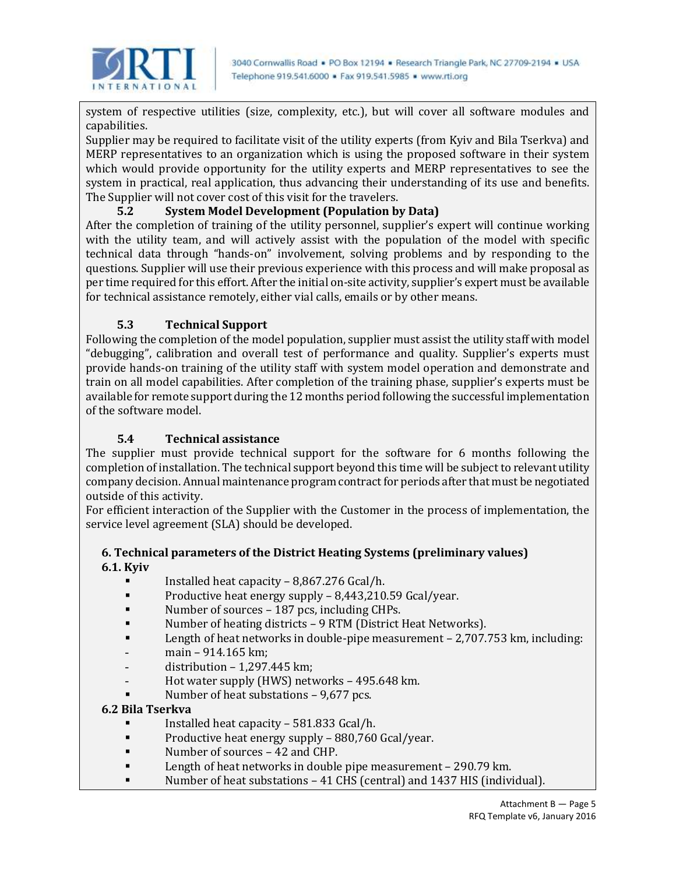

system of respective utilities (size, complexity, etc.), but will cover all software modules and capabilities.

Supplier may be required to facilitate visit of the utility experts (from Kyiv and Bila Tserkva) and MERP representatives to an organization which is using the proposed software in their system which would provide opportunity for the utility experts and MERP representatives to see the system in practical, real application, thus advancing their understanding of its use and benefits. The Supplier will not cover cost of this visit for the travelers.

## **5.2 System Model Development (Population by Data)**

After the completion of training of the utility personnel, supplier's expert will continue working with the utility team, and will actively assist with the population of the model with specific technical data through "hands-on" involvement, solving problems and by responding to the questions. Supplier will use their previous experience with this process and will make proposal as per time required for this effort. After the initial on-site activity, supplier's expert must be available for technical assistance remotely, either vial calls, emails or by other means.

# **5.3 Technical Support**

Following the completion of the model population, supplier must assist the utility staff with model "debugging", calibration and overall test of performance and quality. Supplier's experts must provide hands-on training of the utility staff with system model operation and demonstrate and train on all model capabilities. After completion of the training phase, supplier's experts must be available for remote support during the 12 months period following the successful implementation of the software model.

### **5.4 Technical assistance**

The supplier must provide technical support for the software for 6 months following the completion of installation. The technical support beyond this time will be subject to relevant utility company decision. Annual maintenance program contract for periods after that must be negotiated outside of this activity.

For efficient interaction of the Supplier with the Customer in the process of implementation, the service level agreement (SLA) should be developed.

### **6. Technical parameters of the District Heating Systems (preliminary values) 6.1. Kyiv**

- Installed heat capacity  $-8,867.276$  Gcal/h.
- **Productive heat energy supply 8,443,210.59 Gcal/year.**
- Number of sources 187 pcs, including CHPs.
- Number of heating districts 9 RTM (District Heat Networks).
- **EXECUTE:** Length of heat networks in double-pipe measurement 2,707.753 km, including:
- main 914.165 km;
- distribution 1,297.445 km;
- Hot water supply (HWS) networks 495.648 km.
- Number of heat substations 9,677 pcs.

#### **6.2 Bila Tserkva**

- Installed heat capacity 581.833 Gcal/h.
- **Productive heat energy supply 880,760 Gcal/year.**
- Number of sources 42 and CHP.
- **EXECUTE:** Length of heat networks in double pipe measurement 290.79 km.
- Number of heat substations 41 CHS (central) and 1437 HIS (individual).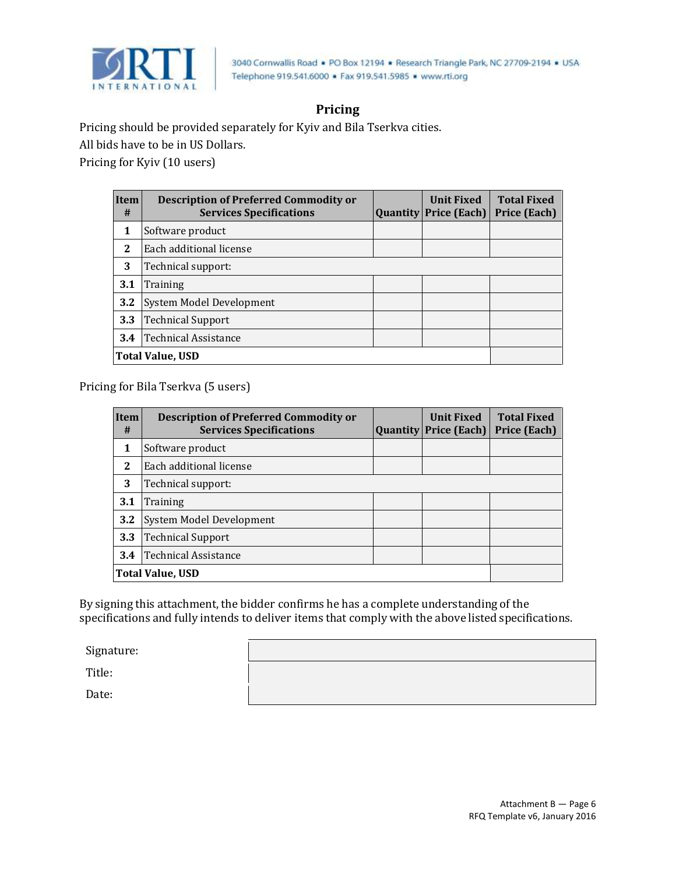

# **Pricing**

Pricing should be provided separately for Kyiv and Bila Tserkva cities.

All bids have to be in US Dollars.

Pricing for Kyiv (10 users)

| Item<br>#               | <b>Description of Preferred Commodity or</b><br><b>Services Specifications</b> | <b>Quantity</b> | <b>Unit Fixed</b><br>Price (Each) | <b>Total Fixed</b><br><b>Price (Each)</b> |  |  |  |  |
|-------------------------|--------------------------------------------------------------------------------|-----------------|-----------------------------------|-------------------------------------------|--|--|--|--|
| 1                       | Software product                                                               |                 |                                   |                                           |  |  |  |  |
| 2                       | Each additional license                                                        |                 |                                   |                                           |  |  |  |  |
| 3                       | Technical support:                                                             |                 |                                   |                                           |  |  |  |  |
| 3.1                     | Training                                                                       |                 |                                   |                                           |  |  |  |  |
| 3.2                     | System Model Development                                                       |                 |                                   |                                           |  |  |  |  |
| 3.3                     | <b>Technical Support</b>                                                       |                 |                                   |                                           |  |  |  |  |
| 3.4                     | <b>Technical Assistance</b>                                                    |                 |                                   |                                           |  |  |  |  |
| <b>Total Value, USD</b> |                                                                                |                 |                                   |                                           |  |  |  |  |

Pricing for Bila Tserkva (5 users)

| <b>Item</b><br># | <b>Description of Preferred Commodity or</b><br><b>Services Specifications</b> | <b>Quantity</b> | <b>Unit Fixed</b><br>Price (Each) $ $ | <b>Total Fixed</b><br>Price (Each) |  |  |  |
|------------------|--------------------------------------------------------------------------------|-----------------|---------------------------------------|------------------------------------|--|--|--|
| 1                | Software product                                                               |                 |                                       |                                    |  |  |  |
| 2                | Each additional license                                                        |                 |                                       |                                    |  |  |  |
| 3                | Technical support:                                                             |                 |                                       |                                    |  |  |  |
| 3.1              | Training                                                                       |                 |                                       |                                    |  |  |  |
| 3.2              | System Model Development                                                       |                 |                                       |                                    |  |  |  |
| 3.3              | <b>Technical Support</b>                                                       |                 |                                       |                                    |  |  |  |
| 3.4              | <b>Technical Assistance</b>                                                    |                 |                                       |                                    |  |  |  |
| Total Value, USD |                                                                                |                 |                                       |                                    |  |  |  |

By signing this attachment, the bidder confirms he has a complete understanding of the specifications and fully intends to deliver items that comply with the above listed specifications.

Signature:

Title:

Date: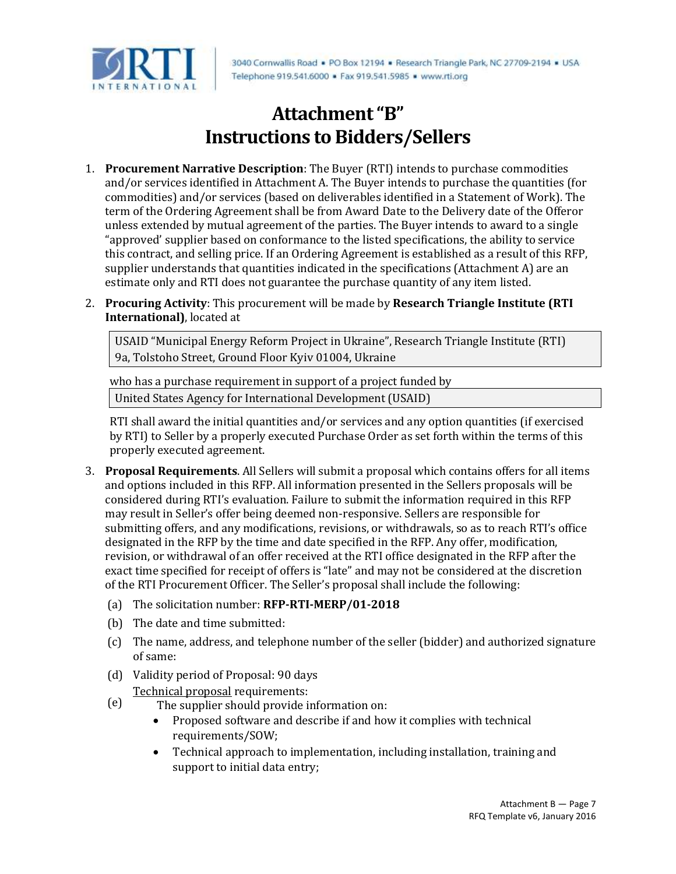

3040 Cornwallis Road . PO Box 12194 . Research Triangle Park, NC 27709-2194 . USA Telephone 919,541,6000 · Fax 919,541,5985 · www.rti.org

# **Attachment"B" Instructions to Bidders/Sellers**

- 1. **Procurement Narrative Description**: The Buyer (RTI) intends to purchase commodities and/or services identified in Attachment A. The Buyer intends to purchase the quantities (for commodities) and/or services (based on deliverables identified in a Statement of Work). The term of the Ordering Agreement shall be from Award Date to the Delivery date of the Offeror unless extended by mutual agreement of the parties. The Buyer intends to award to a single "approved' supplier based on conformance to the listed specifications, the ability to service this contract, and selling price. If an Ordering Agreement is established as a result of this RFP, supplier understands that quantities indicated in the specifications (Attachment A) are an estimate only and RTI does not guarantee the purchase quantity of any item listed.
- 2. **Procuring Activity**: This procurement will be made by **Research Triangle Institute (RTI International)**, located at

USAID "Municipal Energy Reform Project in Ukraine", Research Triangle Institute (RTI) 9a, Tolstoho Street, Ground Floor Kyiv 01004, Ukraine

who has a purchase requirement in support of a project funded by

United States Agency for International Development (USAID)

RTI shall award the initial quantities and/or services and any option quantities (if exercised by RTI) to Seller by a properly executed Purchase Order as set forth within the terms of this properly executed agreement.

- 3. **Proposal Requirements**. All Sellers will submit a proposal which contains offers for all items and options included in this RFP. All information presented in the Sellers proposals will be considered during RTI's evaluation. Failure to submit the information required in this RFP may result in Seller's offer being deemed non-responsive. Sellers are responsible for submitting offers, and any modifications, revisions, or withdrawals, so as to reach RTI's office designated in the RFP by the time and date specified in the RFP. Any offer, modification, revision, or withdrawal of an offer received at the RTI office designated in the RFP after the exact time specified for receipt of offers is "late" and may not be considered at the discretion of the RTI Procurement Officer. The Seller's proposal shall include the following:
	- (a) The solicitation number: **RFP-RTI-MERP/01-2018**
	- (b) The date and time submitted:
	- (c) The name, address, and telephone number of the seller (bidder) and authorized signature of same:
	- (d) Validity period of Proposal: 90 days
	- (e) Technical proposal requirements:
		- The supplier should provide information on:
			- Proposed software and describe if and how it complies with technical requirements/SOW;
			- Technical approach to implementation, including installation, training and support to initial data entry;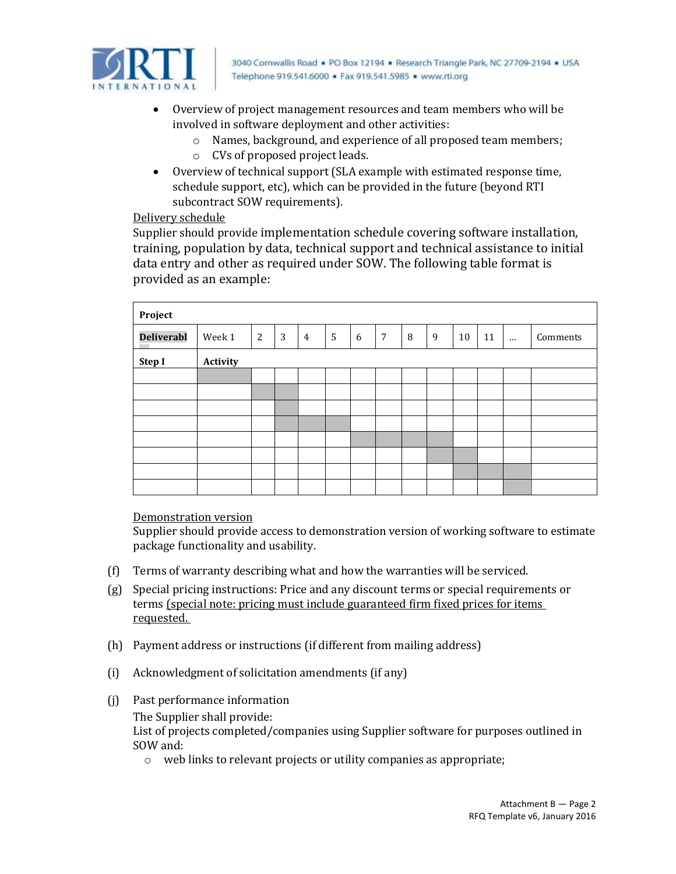

3040 Cornwallis Road . PO Box 12194 . Research Triangle Park, NC 27709-2194 . USA Telephone 919,541,6000 · Fax 919,541,5985 · www.rti.org

- Overview of project management resources and team members who will be involved in software deployment and other activities:
	- o Names, background, and experience of all proposed team members;
	- o CVs of proposed project leads.
- Overview of technical support (SLA example with estimated response time, schedule support, etc), which can be provided in the future (beyond RTI subcontract SOW requirements).

#### Delivery schedule

Supplier should provide implementation schedule covering software installation, training, population by data, technical support and technical assistance to initial data entry and other as required under SOW. The following table format is provided as an example:

| Project           |          |                |                |                |                |   |   |   |   |    |    |          |          |
|-------------------|----------|----------------|----------------|----------------|----------------|---|---|---|---|----|----|----------|----------|
| <b>Deliverabl</b> | Week 1   | $\overline{2}$ | $\overline{3}$ | $\overline{4}$ | $5\phantom{.}$ | 6 | 7 | 8 | 9 | 10 | 11 | $\cdots$ | Comments |
| Step I            | Activity |                |                |                |                |   |   |   |   |    |    |          |          |
|                   |          |                |                |                |                |   |   |   |   |    |    |          |          |
|                   |          |                |                |                |                |   |   |   |   |    |    |          |          |
|                   |          |                |                |                |                |   |   |   |   |    |    |          |          |
|                   |          |                |                |                |                |   |   |   |   |    |    |          |          |
|                   |          |                |                |                |                |   |   |   |   |    |    |          |          |
|                   |          |                |                |                |                |   |   |   |   |    |    |          |          |
|                   |          |                |                |                |                |   |   |   |   |    |    |          |          |
|                   |          |                |                |                |                |   |   |   |   |    |    |          |          |

#### Demonstration version

Supplier should provide access to demonstration version of working software to estimate package functionality and usability.

- (f) Terms of warranty describing what and how the warranties will be serviced.
- (g) Special pricing instructions: Price and any discount terms or special requirements or terms (special note: pricing must include guaranteed firm fixed prices for items requested.
- (h) Payment address or instructions (if different from mailing address)
- (i) Acknowledgment of solicitation amendments (if any)
- (j) Past performance information The Supplier shall provide: List of projects completed/companies using Supplier software for purposes outlined in SOW and:
	- o web links to relevant projects or utility companies as appropriate;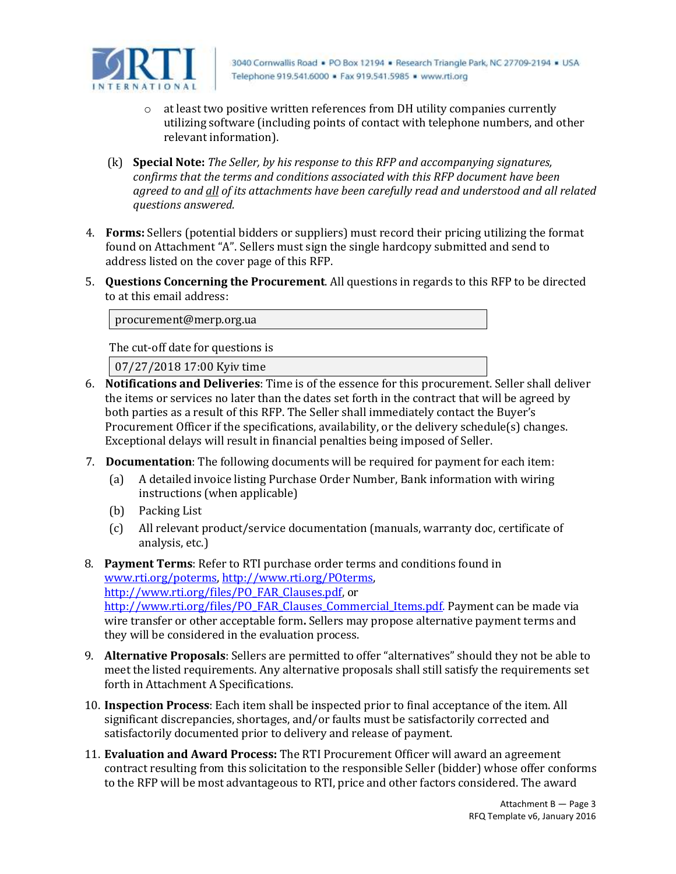

- o at least two positive written references from DH utility companies currently utilizing software (including points of contact with telephone numbers, and other relevant information).
- (k) **Special Note:** *The Seller, by his response to this RFP and accompanying signatures, confirms that the terms and conditions associated with this RFP document have been agreed to and all of its attachments have been carefully read and understood and all related questions answered.*
- 4. **Forms:** Sellers (potential bidders or suppliers) must record their pricing utilizing the format found on Attachment "A". Sellers must sign the single hardcopy submitted and send to address listed on the cover page of this RFP.
- 5. **Questions Concerning the Procurement**. All questions in regards to this RFP to be directed to at this email address:

procurement@merp.org.ua

The cut-off date for questions is

07/27/2018 17:00 Kyiv time

- 6. **Notifications and Deliveries**: Time is of the essence for this procurement. Seller shall deliver the items or services no later than the dates set forth in the contract that will be agreed by both parties as a result of this RFP. The Seller shall immediately contact the Buyer's Procurement Officer if the specifications, availability, or the delivery schedule(s) changes. Exceptional delays will result in financial penalties being imposed of Seller.
- 7. **Documentation**: The following documents will be required for payment for each item:
	- (a) A detailed invoice listing Purchase Order Number, Bank information with wiring instructions (when applicable)
	- (b) Packing List
	- (c) All relevant product/service documentation (manuals, warranty doc, certificate of analysis, etc.)
- 8. **Payment Terms**: Refer to RTI purchase order terms and conditions found in [www.rti.org/poterms,](http://www.rti.org/poterms) [http://www.rti.org/POterms,](http://www.rti.org/POterms) [http://www.rti.org/files/PO\\_FAR\\_Clauses.pdf,](http://www.rti.org/files/PO_FAR_Clauses.pdf) or [http://www.rti.org/files/PO\\_FAR\\_Clauses\\_Commercial\\_Items.pdf.](http://www.rti.org/files/PO_FAR_Clauses_Commercial_Items.pdf) Payment can be made via wire transfer or other acceptable form**.** Sellers may propose alternative payment terms and they will be considered in the evaluation process.
- 9. **Alternative Proposals**: Sellers are permitted to offer "alternatives" should they not be able to meet the listed requirements. Any alternative proposals shall still satisfy the requirements set forth in Attachment A Specifications.
- 10. **Inspection Process**: Each item shall be inspected prior to final acceptance of the item. All significant discrepancies, shortages, and/or faults must be satisfactorily corrected and satisfactorily documented prior to delivery and release of payment.
- 11. **Evaluation and Award Process:** The RTI Procurement Officer will award an agreement contract resulting from this solicitation to the responsible Seller (bidder) whose offer conforms to the RFP will be most advantageous to RTI, price and other factors considered. The award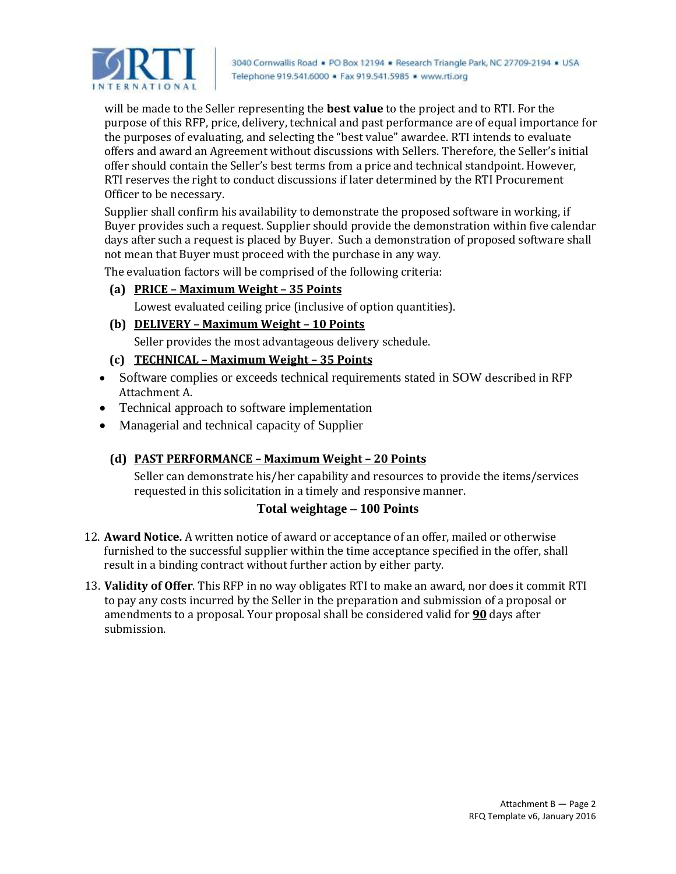

will be made to the Seller representing the **best value** to the project and to RTI. For the purpose of this RFP, price, delivery, technical and past performance are of equal importance for the purposes of evaluating, and selecting the "best value" awardee. RTI intends to evaluate offers and award an Agreement without discussions with Sellers. Therefore, the Seller's initial offer should contain the Seller's best terms from a price and technical standpoint. However, RTI reserves the right to conduct discussions if later determined by the RTI Procurement Officer to be necessary.

Supplier shall confirm his availability to demonstrate the proposed software in working, if Buyer provides such a request. Supplier should provide the demonstration within five calendar days after such a request is placed by Buyer. Such a demonstration of proposed software shall not mean that Buyer must proceed with the purchase in any way.

The evaluation factors will be comprised of the following criteria:

- **(a) PRICE – Maximum Weight – 35 Points** Lowest evaluated ceiling price (inclusive of option quantities).
- **(b) DELIVERY – Maximum Weight – 10 Points** Seller provides the most advantageous delivery schedule.

### **(c) TECHNICAL – Maximum Weight – 35 Points**

- Software complies or exceeds technical requirements stated in SOW described in RFP Attachment A.
- Technical approach to software implementation
- Managerial and technical capacity of Supplier

# **(d) PAST PERFORMANCE – Maximum Weight – 20 Points**

Seller can demonstrate his/her capability and resources to provide the items/services requested in this solicitation in a timely and responsive manner.

### **Total weightage – 100 Points**

- 12. **Award Notice.** A written notice of award or acceptance of an offer, mailed or otherwise furnished to the successful supplier within the time acceptance specified in the offer, shall result in a binding contract without further action by either party.
- 13. **Validity of Offer**. This RFP in no way obligates RTI to make an award, nor does it commit RTI to pay any costs incurred by the Seller in the preparation and submission of a proposal or amendments to a proposal. Your proposal shall be considered valid for **90** days after submission.